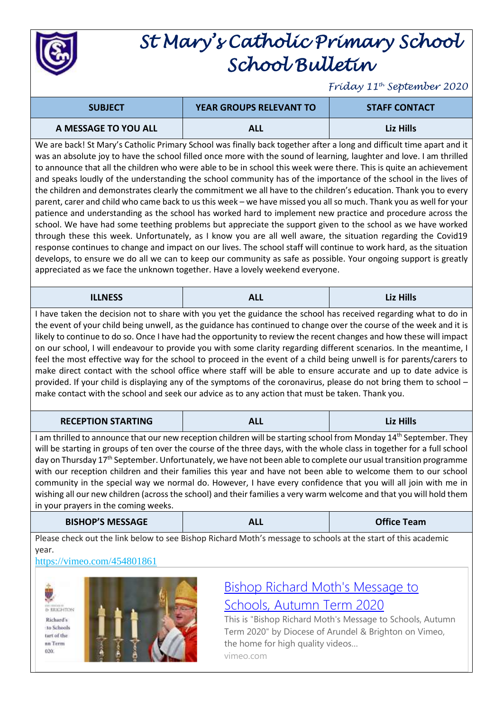

# *St Mary's Catholic Primary School School Bulletin*

*Friday 11th September 2020*

| <b>SUBJECT</b>       | <b>YEAR GROUPS RELEVANT TO</b> | <b>STAFF CONTACT</b> |
|----------------------|--------------------------------|----------------------|
| A MESSAGE TO YOU ALL | ALL                            | Liz Hills            |

We are back! St Mary's Catholic Primary School was finally back together after a long and difficult time apart and it was an absolute joy to have the school filled once more with the sound of learning, laughter and love. I am thrilled to announce that all the children who were able to be in school this week were there. This is quite an achievement and speaks loudly of the understanding the school community has of the importance of the school in the lives of the children and demonstrates clearly the commitment we all have to the children's education. Thank you to every parent, carer and child who came back to us this week – we have missed you all so much. Thank you as well for your patience and understanding as the school has worked hard to implement new practice and procedure across the school. We have had some teething problems but appreciate the support given to the school as we have worked through these this week. Unfortunately, as I know you are all well aware, the situation regarding the Covid19 response continues to change and impact on our lives. The school staff will continue to work hard, as the situation develops, to ensure we do all we can to keep our community as safe as possible. Your ongoing support is greatly appreciated as we face the unknown together. Have a lovely weekend everyone.

| <b>ILLNESS</b> | $\mathbf{A}$<br><u>льни</u> | Liz Hills |
|----------------|-----------------------------|-----------|
|----------------|-----------------------------|-----------|

I have taken the decision not to share with you yet the guidance the school has received regarding what to do in the event of your child being unwell, as the guidance has continued to change over the course of the week and it is likely to continue to do so. Once I have had the opportunity to review the recent changes and how these will impact on our school, I will endeavour to provide you with some clarity regarding different scenarios. In the meantime, I feel the most effective way for the school to proceed in the event of a child being unwell is for parents/carers to make direct contact with the school office where staff will be able to ensure accurate and up to date advice is provided. If your child is displaying any of the symptoms of the coronavirus, please do not bring them to school – make contact with the school and seek our advice as to any action that must be taken. Thank you.

| <b>RECEPTION STARTING</b> | - - | Liz Hills |
|---------------------------|-----|-----------|
|---------------------------|-----|-----------|

I am thrilled to announce that our new reception children will be starting school from Monday 14<sup>th</sup> September. They will be starting in groups of ten over the course of the three days, with the whole class in together for a full school day on Thursday 17<sup>th</sup> September. Unfortunately, we have not been able to complete our usual transition programme with our reception children and their families this year and have not been able to welcome them to our school community in the special way we normal do. However, I have every confidence that you will all join with me in wishing all our new children (across the school) and their families a very warm welcome and that you will hold them in your prayers in the coming weeks.

| <b>Office Team</b><br><b>BISHOP'S MESSAGE</b><br><b>ALL</b> |  |
|-------------------------------------------------------------|--|
|-------------------------------------------------------------|--|

Please check out the link below to see Bishop Richard Moth's message to schools at the start of this academic year.

### <https://vimeo.com/454801861>



& BRIGHTON Richard's to Schools tart of the un Term  $020$ 



## Bishop Richard Moth's [Message](https://vimeo.com/454801861) to [Schools,](https://vimeo.com/454801861) Autumn Term 2020

This is "Bishop Richard Moth's Message to Schools, Autumn Term 2020" by Diocese of Arundel & Brighton on Vimeo, the home for high quality videos… vimeo.com